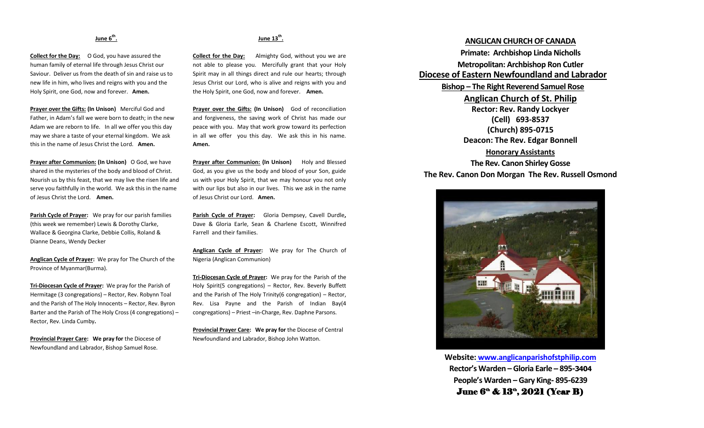### **June 6th .**

**Collect for the Day:** O God, you have assured the human family of eternal life through Jesus Christ our Saviour. Deliver us from the death of sin and raise us to new life in him, who lives and reigns with you and the Holy Spirit, one God, now and forever. **Amen.** 

**Prayer over the Gifts: (In Unison)** Merciful God and Father, in Adam's fall we were born to death; in the new Adam we are reborn to life. In all we offer you this day may we share a taste of your eternal kingdom. We ask this in the name of Jesus Christ the Lord. **Amen.**

**Prayer after Communion: (In Unison)** O God, we have shared in the mysteries of the body and blood of Christ. Nourish us by this feast, that we may live the risen life and serve you faithfully in the world. We ask this in the name of Jesus Christ the Lord. **Amen.**

**Parish Cycle of Prayer:** We pray for our parish families (this week we remember) Lewis & Dorothy Clarke, Wallace & Georgina Clarke, Debbie Collis, Roland & Dianne Deans, Wendy Decker

**Anglican Cycle of Prayer:** We pray for The Church of the Province of Myanmar(Burma).

**Tri-Diocesan Cycle of Prayer:** We pray for the Parish of Hermitage (3 congregations) – Rector, Rev. Robynn Toal and the Parish of The Holy Innocents – Rector, Rev. Byron Barter and the Parish of The Holy Cross (4 congregations) – Rector, Rev. Linda Cumby**.**

**Provincial Prayer Care: We pray for** the Diocese of Newfoundland and Labrador, Bishop Samuel Rose.

### **June 13th .**

**Collect for the Day:** Almighty God, without you we are not able to please you. Mercifully grant that your Holy Spirit may in all things direct and rule our hearts; through Jesus Christ our Lord, who is alive and reigns with you and the Holy Spirit, one God, now and forever. **Amen.** 

**Prayer over the Gifts: (In Unison)** God of reconciliation and forgiveness, the saving work of Christ has made our peace with you. May that work grow toward its perfection in all we offer you this day. We ask this in his name. **Amen.**

**Prayer after Communion: (In Unison)** Holy and Blessed God, as you give us the body and blood of your Son, guide us with your Holy Spirit, that we may honour you not only with our lips but also in our lives. This we ask in the name of Jesus Christ our Lord. **Amen.**

**Parish Cycle of Prayer:** Gloria Dempsey, Cavell Durdle**,**  Dave & Gloria Earle, Sean & Charlene Escott, Winnifred Farrell and their families.

**Anglican Cycle of Prayer:** We pray for The Church of Nigeria (Anglican Communion)

**Tri-Diocesan Cycle of Prayer:** We pray for the Parish of the Holy Spirit(5 congregations) – Rector, Rev. Beverly Buffett and the Parish of The Holy Trinity(6 congregation) – Rector, Rev. Lisa Payne and the Parish of Indian Bay(4 congregations) – Priest –in-Charge, Rev. Daphne Parsons.

**Provincial Prayer Care: We pray for** the Diocese of Central Newfoundland and Labrador, Bishop John Watton.

## **ANGLICAN CHURCH OF CANADA Primate: Archbishop Linda Nicholls Metropolitan: Archbishop Ron Cutler Diocese of Eastern Newfoundland and Labrador Bishop – The Right Reverend Samuel Rose Anglican Church of St. Philip Rector: Rev. Randy Lockyer (Cell) 693-8537 (Church) 895-0715 Deacon: The Rev. Edgar Bonnell Honorary Assistants**

**The Rev. Canon Shirley Gosse The Rev. Canon Don Morgan The Rev. Russell Osmond**



**Website: [www.anglicanparishofstphilip.com](http://www.anglicanparishofstphilip.com/) Rector's Warden – Gloria Earle – 895-3404 People's Warden – Gary King- 895-6239** June 6<sup>a</sup> & 13<sup>a</sup>, 2021 (Year B)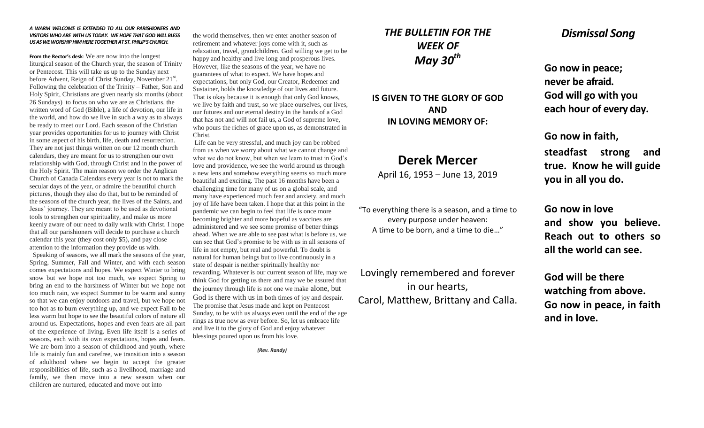#### *A WARM WELCOME IS EXTENDED TO ALL OUR PARISHIONERS AND VISITORS WHO ARE WITH US TODAY. WE HOPE THAT GOD WILL BLESS US AS WE WORSHIP HIM HERE TOGETHER AT ST. PHILIP'S CHURCH.*

**From the Rector's desk**: We are now into the longest liturgical season of the Church year, the season of Trinity or Pentecost. This will take us up to the Sunday next before Advent, Reign of Christ Sunday, November 21<sup>st</sup>. Following the celebration of the Trinity – Father, Son and Holy Spirit, Christians are given nearly six months (about 26 Sundays) to focus on who we are as Christians, the written word of God (Bible), a life of devotion, our life in the world, and how do we live in such a way as to always be ready to meet our Lord. Each season of the Christian year provides opportunities for us to journey with Christ in some aspect of his birth, life, death and resurrection. They are not just things written on our 12 month church calendars, they are meant for us to strengthen our own relationship with God, through Christ and in the power of the Holy Spirit. The main reason we order the Anglican Church of Canada Calendars every year is not to mark the secular days of the year, or admire the beautiful church pictures, though they also do that, but to be reminded of the seasons of the church year, the lives of the Saints, and Jesus' journey. They are meant to be used as devotional tools to strengthen our spirituality, and make us more keenly aware of our need to daily walk with Christ. I hope that all our parishioners will decide to purchase a church calendar this year (they cost only \$5), and pay close attention to the information they provide us with.

 Speaking of seasons, we all mark the seasons of the year, Spring, Summer, Fall and Winter, and with each season comes expectations and hopes. We expect Winter to bring snow but we hope not too much, we expect Spring to bring an end to the harshness of Winter but we hope not too much rain, we expect Summer to be warm and sunny so that we can enjoy outdoors and travel, but we hope not too hot as to burn everything up, and we expect Fall to be less warm but hope to see the beautiful colors of nature all around us. Expectations, hopes and even fears are all part of the experience of living. Even life itself is a series of seasons, each with its own expectations, hopes and fears. We are born into a season of childhood and youth, where life is mainly fun and carefree, we transition into a season of adulthood where we begin to accept the greater responsibilities of life, such as a livelihood, marriage and family, we then move into a new season when our children are nurtured, educated and move out into

the world themselves, then we enter another season of retirement and whatever joys come with it, such as relaxation, travel, grandchildren. God willing we get to be happy and healthy and live long and prosperous lives. However, like the seasons of the year, we have no guarantees of what to expect. We have hopes and expectations, but only God, our Creator, Redeemer and Sustainer, holds the knowledge of our lives and future. That is okay because it is enough that only God knows, we live by faith and trust, so we place ourselves, our lives, our futures and our eternal destiny in the hands of a God that has not and will not fail us, a God of supreme love, who pours the riches of grace upon us, as demonstrated in Christ.

Life can be very stressful, and much joy can be robbed from us when we worry about what we cannot change and what we do not know, but when we learn to trust in God's love and providence, we see the world around us through a new lens and somehow everything seems so much more beautiful and exciting. The past 16 months have been a challenging time for many of us on a global scale, and many have experienced much fear and anxiety, and much joy of life have been taken. I hope that at this point in the pandemic we can begin to feel that life is once more becoming brighter and more hopeful as vaccines are administered and we see some promise of better things ahead. When we are able to see past what is before us, we can see that God's promise to be with us in all seasons of life in not empty, but real and powerful. To doubt is natural for human beings but to live continuously in a state of despair is neither spiritually healthy nor rewarding. Whatever is our current season of life, may we think God for getting us there and may we be assured that the journey through life is not one we make alone, but God is there with us in both times of joy and despair. The promise that Jesus made and kept on Pentecost Sunday, to be with us always even until the end of the age rings as true now as ever before. So, let us embrace life and live it to the glory of God and enjoy whatever blessings poured upon us from his love.

*(Rev. Randy)*

# *THE BULLETIN FOR THE WEEK OF May 30th*

**IS GIVEN TO THE GLORY OF GOD AND IN LOVING MEMORY OF:**

# **Derek Mercer**

April 16, 1953 – June 13, 2019

"To everything there is a season, and a time to every purpose under heaven: A time to be born, and a time to die…"

Lovingly remembered and forever in our hearts, Carol, Matthew, Brittany and Calla.

## *Dismissal Song*

**Go now in peace; never be afraid. God will go with you each hour of every day.**

**Go now in faith,** 

**steadfast strong and true. Know he will guide you in all you do.**

**Go now in love and show you believe. Reach out to others so all the world can see.**

**God will be there watching from above. Go now in peace, in faith and in love.**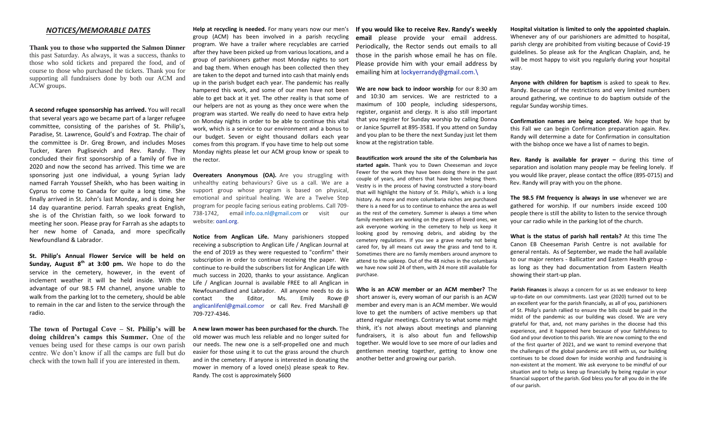#### *NOTICES/MEMORABLE DATES*

**Thank you to those who supported the Salmon Dinner** this past Saturday. As always, it was a success, thanks to those who sold tickets and prepared the food, and of course to those who purchased the tickets. Thank you for supporting all fundraisers done by both our ACM and ACW groups.

**A second refugee sponsorship has arrived.** You will recall that several years ago we became part of a larger refugee committee, consisting of the parishes of St. Philip's, Paradise, St. Lawrence, Gould's and Foxtrap. The chair of the committee is Dr. Greg Brown, and includes Moses Tucker, Karen Puglisevich and Rev. Randy. They concluded their first sponsorship of a family of five in 2020 and now the second has arrived. This time we are sponsoring just one individual, a young Syrian lady named Farrah Youssef Sheikh, who has been waiting in Cyprus to come to Canada for quite a long time. She finally arrived in St. John's last Monday, and is doing her 14 day quarantine period. Farrah speaks great English, she is of the Christian faith, so we look forward to meeting her soon. Please pray for Farrah as she adapts to her new home of Canada, and more specifically Newfoundland & Labrador.

**St. Philip's Annual Flower Service will be held on Sunday, August 8th at 3:00 pm.** We hope to do the service in the cemetery, however, in the event of inclement weather it will be held inside. With the advantage of our 98.5 FM channel, anyone unable to walk from the parking lot to the cemetery, should be able to remain in the car and listen to the service through the radio.

**doing children's camps this Summer.** One of the venues being used for these camps is our own parish centre. We don't know if all the camps are full but do check with the town hall if you are interested in them.

**Help at recycling is needed.** For many years now our men's group (ACM) has been involved in a parish recycling program. We have a trailer where recyclables are carried after they have been picked up from various locations, and a group of parishioners gather most Monday nights to sort and bag them. When enough has been collected then they are taken to the depot and turned into cash that mainly ends up in the parish budget each year. The pandemic has really hampered this work, and some of our men have not been able to get back at it yet. The other reality is that some of our helpers are not as young as they once were when the program was started. We really do need to have extra help on Monday nights in order to be able to continue this vital work, which is a service to our environment and a bonus to our budget. Seven or eight thousand dollars each year comes from this program. If you have time to help out some Monday nights please let our ACM group know or speak to the rector.

**Overeaters Anonymous (OA).** Are you struggling with unhealthy eating behaviours? Give us a call. We are a support group whose program is based on physical, emotional and spiritual healing. We are a Twelve Step program for people facing serious eating problems. Call 709- 738-1742, email [info.oa.nl@gmail.com](mailto:info.oa.nl@gmail.com) or visit our website: [oanl.org.](http://oanl.org/)

**Notice from Anglican Life.** Many parishioners stopped receiving a subscription to Anglican Life / Anglican Journal at the end of 2019 as they were requested to "confirm" their subscription in order to continue receiving the paper. We continue to re-build the subscribers list for Anglican Life with much success in 2020, thanks to your assistance. Anglican Life / Anglican Journal is available FREE to all Anglican in Newfounandland and Labrador. All anyone needs to do is contact the Editor, Ms. Emily Rowe @ [anglicanlifenl@gmail.comor](mailto:anglicanlifenl@gmail.comor) or call Rev. Fred Marshall @ 709-727-4346.

**The town of Portugal Cove – St. Philip's will be A new lawn mower has been purchased for the church.** The old mower was much less reliable and no longer suited for our needs. The new one is a self-propelled one and much easier for those using it to cut the grass around the church and in the cemetery. If anyone is interested in donating the mower in memory of a loved one(s) please speak to Rev. Randy. The cost is approximately \$600

**If you would like to receive Rev. Randy's weekly email** please provide your email address. Periodically, the Rector sends out emails to all those in the parish whose email he has on file. Please provide him with your email address by emailing him a[t lockyerrandy@gmail.com.\](mailto:lockyerrandy@gmail.com./)

**We are now back to indoor worship** for our 8:30 am and 10:30 am services. We are restricted to a maximum of 100 people, including sidespersons, register, organist and clergy. It is also still important that you register for Sunday worship by calling Donna or Janice Spurrell at 895-3581. If you attend on Sunday and you plan to be there the next Sunday just let them know at the registration table.

**Beautification work around the site of the Columbaria has started again.** Thank you to Dawn Cheeseman and Joyce Fewer for the work they have been doing there in the past couple of years, and others that have been helping them. Vestry is in the process of having constructed a story-board that will highlight the history of St. Philip's, which is a long history. As more and more columbaria niches are purchased there is a need for us to continue to enhance the area as well as the rest of the cemetery. Summer is always a time when family members are working on the graves of loved ones, we ask everyone working in the cemetery to help us keep it looking good by removing debris, and abiding by the cemetery regulations. If you see a grave nearby not being cared for, by all means cut away the grass and tend to it. Sometimes there are no family members around anymore to attend to the upkeep. Out of the 48 niches in the columbaria we have now sold 24 of them, with 24 more still available for purchase.

**Who is an ACW member or an ACM member?** The short answer is, every woman of our parish is an ACW member and every man is an ACM member. We would love to get the numbers of active members up that attend regular meetings. Contrary to what some might think, it's not always about meetings and planning fundraisers, it is also about fun and fellowship together. We would love to see more of our ladies and gentlemen meeting together, getting to know one another better and growing our parish.

**Hospital visitation is limited to only the appointed chaplain.**  Whenever any of our parishioners are admitted to hospital, parish clergy are prohibited from visiting because of Covid-19 guidelines. So please ask for the Anglican Chaplain, and, he will be most happy to visit you regularly during your hospital stay.

**Anyone with children for baptism** is asked to speak to Rev. Randy. Because of the restrictions and very limited numbers around gathering, we continue to do baptism outside of the regular Sunday worship times.

**Confirmation names are being accepted.** We hope that by this Fall we can begin Confirmation preparation again. Rev. Randy will determine a date for Confirmation in consultation with the bishop once we have a list of names to begin.

**Rev. Randy is available for prayer –** during this time of separation and isolation many people may be feeling lonely. If you would like prayer, please contact the office (895-0715) and Rev. Randy will pray with you on the phone.

**The 98.5 FM frequency is always in use** whenever we are gathered for worship. If our numbers inside exceed 100 people there is still the ability to listen to the service through your car radio while in the parking lot of the church.

**What is the status of parish hall rentals?** At this time The Canon EB Cheeseman Parish Centre is not available for general rentals. As of September, we made the hall available to our major renters - Ballicatter and Eastern Health group as long as they had documentation from Eastern Health showing their start-up plan.

**Parish Finances** is always a concern for us as we endeavor to keep up-to-date on our commitments. Last year (2020) turned out to be an excellent year for the parish financially, as all of you, parishioners of St. Philip's parish rallied to ensure the bills could be paid in the midst of the pandemic as our building was closed. We are very grateful for that, and, not many parishes in the diocese had this experience, and it happened here because of your faithfulness to God and your devotion to this parish. We are now coming to the end of the first quarter of 2021, and we want to remind everyone that the challenges of the global pandemic are still with us, our building continues to be closed down for inside worship and fundraising is non-existent at the moment. We ask everyone to be mindful of our situation and to help us keep up financially by being regular in your financial support of the parish. God bless you for all you do in the life of our parish.